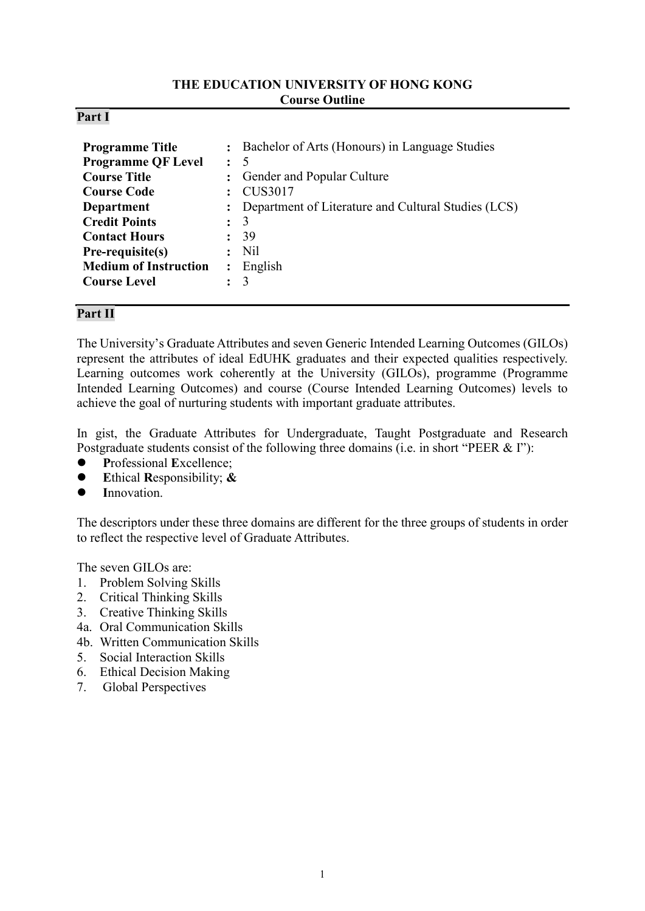#### **THE EDUCATION UNIVERSITY OF HONG KONG Course Outline**

#### **Part I**

| <b>Programme Title</b><br><b>Programme QF Level</b><br><b>Course Title</b><br><b>Course Code</b><br><b>Department</b><br><b>Credit Points</b><br><b>Contact Hours</b><br>Pre-requisite(s)<br><b>Medium of Instruction</b><br><b>Course Level</b> | $\cdot$<br>$\ddot{\phantom{a}}$<br>$\ddot{\phantom{a}}$<br>$\ddot{\cdot}$<br>$\ddot{\phantom{a}}$ | : Bachelor of Arts (Honours) in Language Studies<br>- 5<br>Gender and Popular Culture<br><b>CUS3017</b><br>Department of Literature and Cultural Studies (LCS)<br>3<br>39<br>N <sub>il</sub><br>English<br>3 |
|--------------------------------------------------------------------------------------------------------------------------------------------------------------------------------------------------------------------------------------------------|---------------------------------------------------------------------------------------------------|--------------------------------------------------------------------------------------------------------------------------------------------------------------------------------------------------------------|
|--------------------------------------------------------------------------------------------------------------------------------------------------------------------------------------------------------------------------------------------------|---------------------------------------------------------------------------------------------------|--------------------------------------------------------------------------------------------------------------------------------------------------------------------------------------------------------------|

### **Part II**

The University's Graduate Attributes and seven Generic Intended Learning Outcomes (GILOs) represent the attributes of ideal EdUHK graduates and their expected qualities respectively. Learning outcomes work coherently at the University (GILOs), programme (Programme Intended Learning Outcomes) and course (Course Intended Learning Outcomes) levels to achieve the goal of nurturing students with important graduate attributes.

In gist, the Graduate Attributes for Undergraduate, Taught Postgraduate and Research Postgraduate students consist of the following three domains (i.e. in short "PEER & I"):

- **P**rofessional **E**xcellence;
- **E**thical **R**esponsibility; **&**
- **I**nnovation.

The descriptors under these three domains are different for the three groups of students in order to reflect the respective level of Graduate Attributes.

The seven GILOs are:

- 1. Problem Solving Skills
- 2. Critical Thinking Skills
- 3. Creative Thinking Skills
- 4a. Oral Communication Skills
- 4b. Written Communication Skills
- 5. Social Interaction Skills
- 6. Ethical Decision Making
- 7. Global Perspectives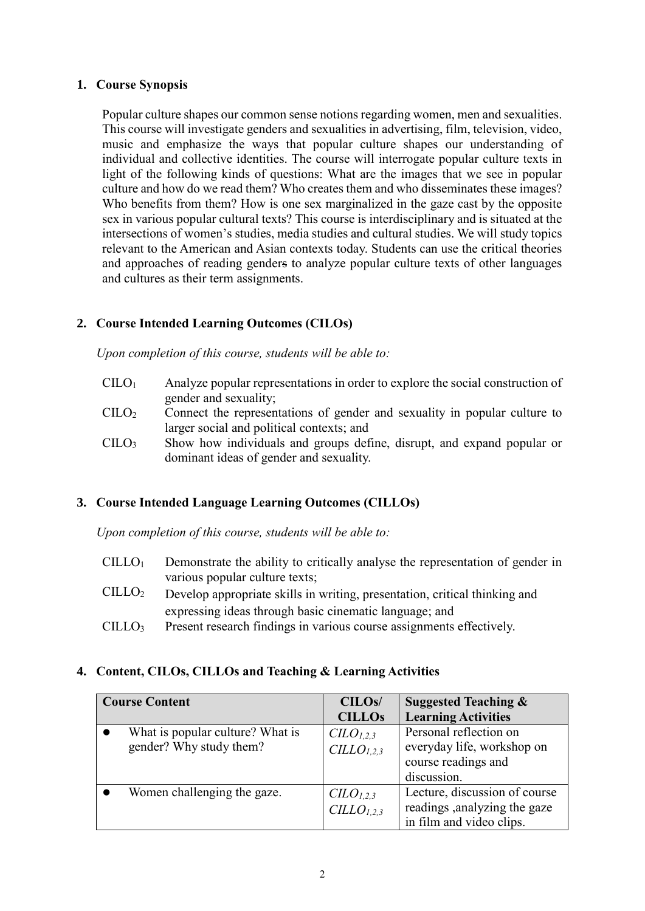#### **1. Course Synopsis**

Popular culture shapes our common sense notions regarding women, men and sexualities. This course will investigate genders and sexualities in advertising, film, television, video, music and emphasize the ways that popular culture shapes our understanding of individual and collective identities. The course will interrogate popular culture texts in light of the following kinds of questions: What are the images that we see in popular culture and how do we read them? Who creates them and who disseminates these images? Who benefits from them? How is one sex marginalized in the gaze cast by the opposite sex in various popular cultural texts? This course is interdisciplinary and is situated at the intersections of women's studies, media studies and cultural studies. We will study topics relevant to the American and Asian contexts today. Students can use the critical theories and approaches of reading genders to analyze popular culture texts of other languages and cultures as their term assignments.

# **2. Course Intended Learning Outcomes (CILOs)**

*Upon completion of this course, students will be able to:*

- $CILO<sub>1</sub>$  Analyze popular representations in order to explore the social construction of gender and sexuality;
- CILO<sup>2</sup> Connect the representations of gender and sexuality in popular culture to larger social and political contexts; and
- CILO<sup>3</sup> Show how individuals and groups define, disrupt, and expand popular or dominant ideas of gender and sexuality.

### **3. Course Intended Language Learning Outcomes (CILLOs)**

*Upon completion of this course, students will be able to:*

- $CILLO<sub>1</sub>$  Demonstrate the ability to critically analyse the representation of gender in various popular culture texts;
- CILLO<sup>2</sup> Develop appropriate skills in writing, presentation, critical thinking and expressing ideas through basic cinematic language; and
- CILLO<sup>3</sup> Present research findings in various course assignments effectively.

# **4. Content, CILOs, CILLOs and Teaching & Learning Activities**

| <b>Course Content</b>            | CILO <sub>s</sub> /               | <b>Suggested Teaching &amp;</b> |  |
|----------------------------------|-----------------------------------|---------------------------------|--|
|                                  | <b>CILLOs</b>                     | <b>Learning Activities</b>      |  |
| What is popular culture? What is | C <sub>L</sub> O <sub>L,2,3</sub> | Personal reflection on          |  |
| gender? Why study them?          | CILO <sub>1.2.3</sub>             | everyday life, workshop on      |  |
|                                  |                                   | course readings and             |  |
|                                  |                                   | discussion.                     |  |
| Women challenging the gaze.      | CLO <sub>1,2,3</sub>              | Lecture, discussion of course   |  |
|                                  | CILLO <sub>1.2.3</sub>            | readings , analyzing the gaze   |  |
|                                  |                                   | in film and video clips.        |  |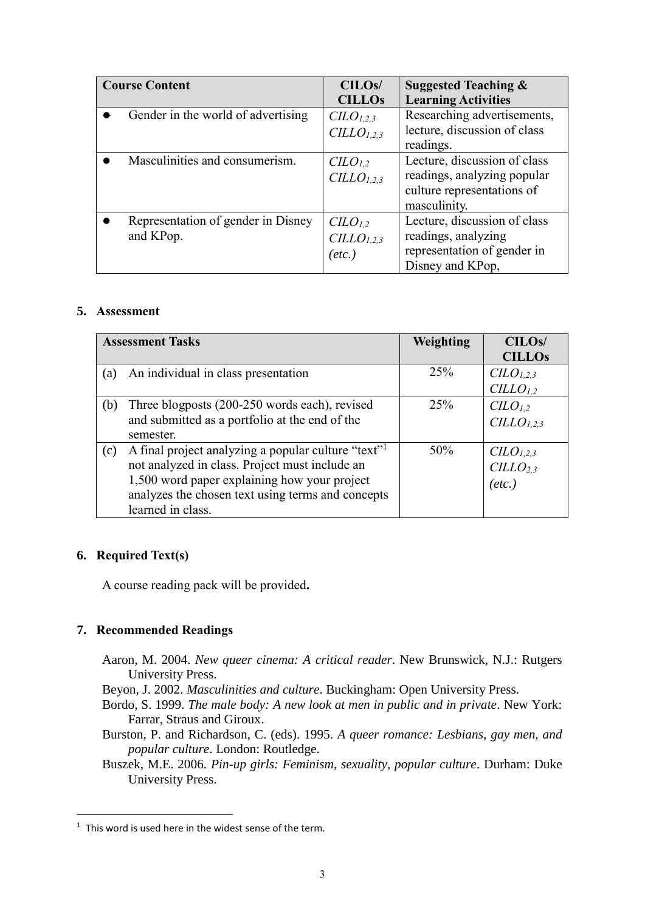| <b>Course Content</b> |                                    | CILO <sub>s</sub> /             | <b>Suggested Teaching &amp;</b> |
|-----------------------|------------------------------------|---------------------------------|---------------------------------|
|                       |                                    | <b>CILLOs</b>                   | <b>Learning Activities</b>      |
|                       | Gender in the world of advertising | $CLO_{1,2,3}$                   | Researching advertisements,     |
|                       |                                    | CILLO <sub>1,2,3</sub>          | lecture, discussion of class    |
|                       |                                    |                                 | readings.                       |
|                       | Masculinities and consumerism.     | C <sub>L</sub> O <sub>L,2</sub> | Lecture, discussion of class    |
|                       |                                    | CILLO <sub>1.2.3</sub>          | readings, analyzing popular     |
|                       |                                    |                                 | culture representations of      |
|                       |                                    |                                 | masculinity.                    |
|                       | Representation of gender in Disney | C <sub>L</sub> O <sub>L</sub>   | Lecture, discussion of class    |
|                       | and KPop.                          | CILLO <sub>1,2,3</sub>          | readings, analyzing             |
|                       |                                    | $(\textit{etc.})$               | representation of gender in     |
|                       |                                    |                                 | Disney and KPop,                |

### **5. Assessment**

| <b>Assessment Tasks</b> |                                                                 | Weighting | CILO <sub>s</sub> /               |
|-------------------------|-----------------------------------------------------------------|-----------|-----------------------------------|
|                         |                                                                 |           | <b>CILLOs</b>                     |
| (a)                     | An individual in class presentation                             | 25%       | C <sub>L</sub> O <sub>L,2,3</sub> |
|                         |                                                                 |           | $CILLO_{1,2}$                     |
| (b)                     | Three blogposts (200-250 words each), revised                   | 25%       | C <sub>L</sub> O <sub>L</sub>     |
|                         | and submitted as a portfolio at the end of the                  |           | CILLO <sub>1.2.3</sub>            |
|                         | semester.                                                       |           |                                   |
| (c)                     | A final project analyzing a popular culture "text" <sup>1</sup> | 50%       | $CLO_{1,2,3}$                     |
|                         | not analyzed in class. Project must include an                  |           | CILLO <sub>2.3</sub>              |
|                         | 1,500 word paper explaining how your project                    |           | $(\textit{etc.})$                 |
|                         | analyzes the chosen text using terms and concepts               |           |                                   |
|                         | learned in class.                                               |           |                                   |

### **6. Required Text(s)**

 $\overline{a}$ 

A course reading pack will be provided**.**

# **7. Recommended Readings**

- Aaron, M. 2004. *New queer cinema: A critical reader*. New Brunswick, N.J.: Rutgers University Press.
- Beyon, J. 2002. *Masculinities and culture*. Buckingham: Open University Press.
- Bordo, S. 1999. *The male body: A new look at men in public and in private*. New York: Farrar, Straus and Giroux.
- Burston, P. and Richardson, C. (eds). 1995. *A queer romance: Lesbians, gay men, and popular culture*. London: Routledge.
- Buszek, M.E. 2006. *Pin-up girls: Feminism, sexuality, popular culture*. Durham: Duke University Press.

 $1$  This word is used here in the widest sense of the term.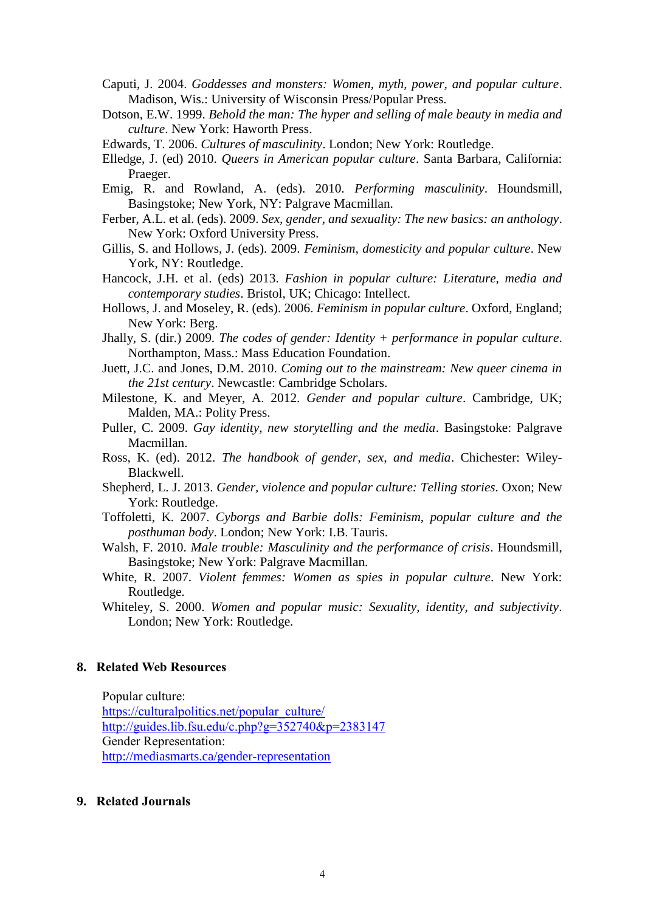- Caputi, J. 2004. *Goddesses and monsters: Women, myth, power, and popular culture*. Madison, Wis.: University of Wisconsin Press/Popular Press.
- Dotson, E.W. 1999. *Behold the man: The hyper and selling of male beauty in media and culture*. New York: Haworth Press.
- Edwards, T. 2006. *Cultures of masculinity*. London; New York: Routledge.
- Elledge, J. (ed) 2010. *Queers in American popular culture*. Santa Barbara, California: Praeger.
- Emig, R. and Rowland, A. (eds). 2010. *Performing masculinity*. Houndsmill, Basingstoke; New York, NY: Palgrave Macmillan.
- Ferber, A.L. et al. (eds). 2009. *Sex, gender, and sexuality: The new basics: an anthology*. New York: Oxford University Press.
- Gillis, S. and Hollows, J. (eds). 2009. *Feminism, domesticity and popular culture*. New York, NY: Routledge.
- Hancock, J.H. et al. (eds) 2013. *Fashion in popular culture: Literature, media and contemporary studies*. Bristol, UK; Chicago: Intellect.
- Hollows, J. and Moseley, R. (eds). 2006. *Feminism in popular culture*. Oxford, England; New York: Berg.
- Jhally, S. (dir.) 2009. *The codes of gender: Identity + performance in popular culture*. Northampton, Mass.: Mass Education Foundation.
- Juett, J.C. and Jones, D.M. 2010. *Coming out to the mainstream: New queer cinema in the 21st century*. Newcastle: Cambridge Scholars.
- Milestone, K. and Meyer, A. 2012. *Gender and popular culture*. Cambridge, UK; Malden, MA.: Polity Press.
- Puller, C. 2009. *Gay identity, new storytelling and the media*. Basingstoke: Palgrave Macmillan.
- Ross, K. (ed). 2012. *The handbook of gender, sex, and media*. Chichester: Wiley-Blackwell.
- Shepherd, L. J. 2013. *Gender, violence and popular culture: Telling stories*. Oxon; New York: Routledge.
- Toffoletti, K. 2007. *Cyborgs and Barbie dolls: Feminism, popular culture and the posthuman body*. London; New York: I.B. Tauris.
- Walsh, F. 2010. *Male trouble: Masculinity and the performance of crisis*. Houndsmill, Basingstoke; New York: Palgrave Macmillan.
- White, R. 2007. *Violent femmes: Women as spies in popular culture*. New York: Routledge.
- Whiteley, S. 2000. *Women and popular music: Sexuality, identity, and subjectivity*. London; New York: Routledge.

#### **8. Related Web Resources**

Popular culture: [https://culturalpolitics.net/popular\\_culture/](https://culturalpolitics.net/popular_culture/) <http://guides.lib.fsu.edu/c.php?g=352740&p=2383147> Gender Representation: <http://mediasmarts.ca/gender-representation>

#### **9. Related Journals**